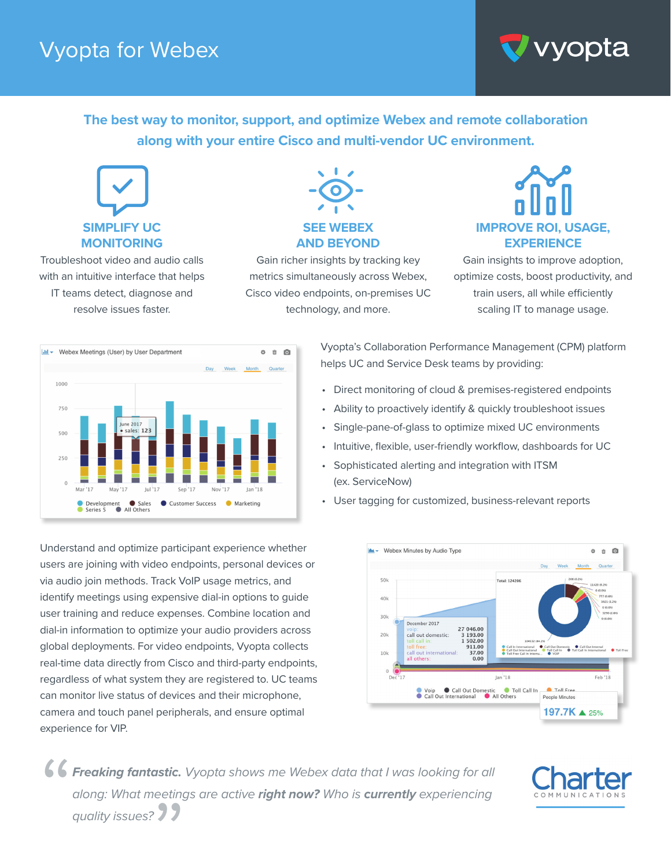## Vyopta for Webex



**The best way to monitor, support, and optimize Webex and remote collaboration along with your entire Cisco and multi-vendor UC environment.**



Troubleshoot video and audio calls with an intuitive interface that helps IT teams detect, diagnose and resolve issues faster.



Gain richer insights by tracking key metrics simultaneously across Webex, Cisco video endpoints, on-premises UC technology, and more.



Gain insights to improve adoption, optimize costs, boost productivity, and train users, all while efficiently scaling IT to manage usage.



Understand and optimize participant experience whether users are joining with video endpoints, personal devices or via audio join methods. Track VoIP usage metrics, and identify meetings using expensive dial-in options to guide user training and reduce expenses. Combine location and dial-in information to optimize your audio providers across global deployments. For video endpoints, Vyopta collects real-time data directly from Cisco and third-party endpoints, regardless of what system they are registered to. UC teams can monitor live status of devices and their microphone, camera and touch panel peripherals, and ensure optimal experience for VIP.

Vyopta's Collaboration Performance Management (CPM) platform helps UC and Service Desk teams by providing:

- Direct monitoring of cloud & premises-registered endpoints
- Ability to proactively identify & quickly troubleshoot issues
- Single-pane-of-glass to optimize mixed UC environments
- Intuitive, flexible, user-friendly workflow, dashboards for UC
- Sophisticated alerting and integration with ITSM (ex. ServiceNow)
- User tagging for customized, business-relevant reports



*Freaking fantastic. Vyopta shows me Webex data that I was looking for all along: What meetings are active right now? Who is currently experiencing*  " *quality issues?* >>